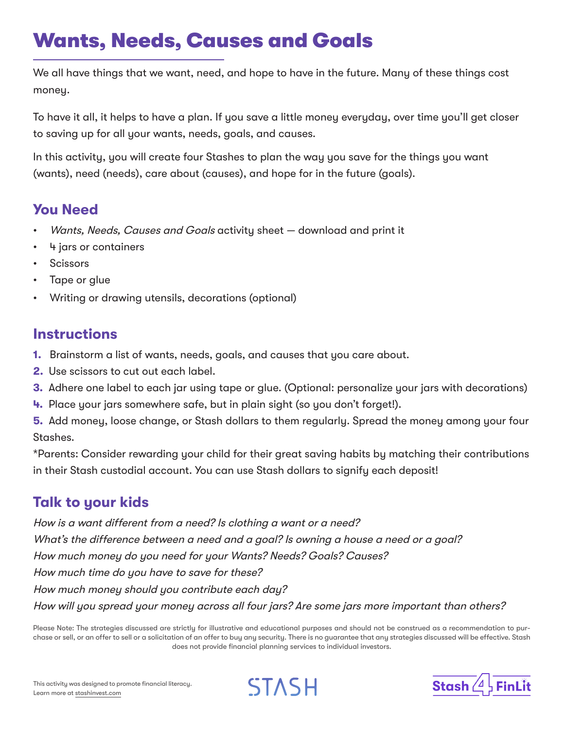## Wants, Needs, Causes and Goals

We all have things that we want, need, and hope to have in the future. Many of these things cost money.

To have it all, it helps to have a plan. If you save a little money everyday, over time you'll get closer to saving up for all your wants, needs, goals, and causes.

In this activity, you will create four Stashes to plan the way you save for the things you want (wants), need (needs), care about (causes), and hope for in the future (goals).

## **You Need**

- Wants, Needs, Causes and Goals activity sheet download and print it
- 4 jars or containers
- **Scissors**
- Tape or glue
- Writing or drawing utensils, decorations (optional)

## **Instructions**

- **1.** Brainstorm a list of wants, needs, goals, and causes that you care about.
- **2.** Use scissors to cut out each label.
- **3.** Adhere one label to each jar using tape or glue. (Optional: personalize your jars with decorations)
- **4.** Place your jars somewhere safe, but in plain sight (so you don't forget!).

**5.** Add money, loose change, or Stash dollars to them regularly. Spread the money among your four Stashes.

\*Parents: Consider rewarding your child for their great saving habits by matching their contributions in their Stash custodial account. You can use Stash dollars to signify each deposit!

## **Talk to your kids**

How is a want different from a need? Is clothing a want or a need? What's the difference between a need and a goal? Is owning a house a need or a goal? How much money do you need for your Wants? Needs? Goals? Causes? How much time do you have to save for these? How much money should you contribute each day? How will you spread your money across all four jars? Are some jars more important than others?

Please Note: The strategies discussed are strictly for illustrative and educational purposes and should not be construed as a recommendation to purchase or sell, or an offer to sell or a solicitation of an offer to buy any security. There is no guarantee that any strategies discussed will be effective. Stash does not provide financial planning services to individual investors.



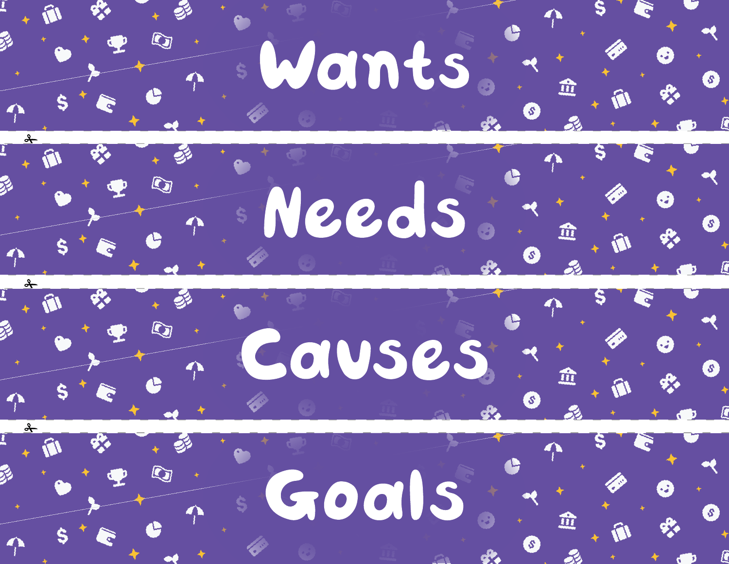





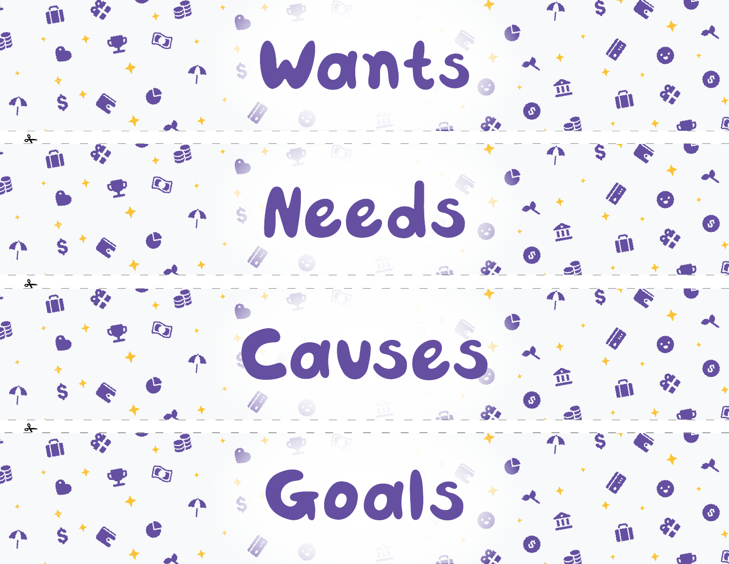